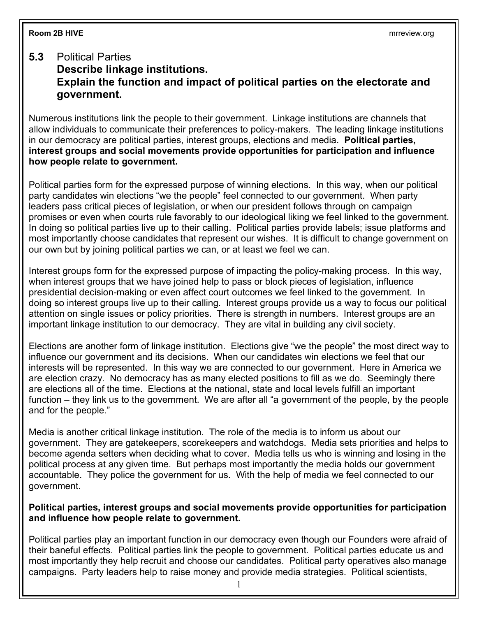## **5.3** Political Parties

## **Describe linkage institutions. Explain the function and impact of political parties on the electorate and government.**

Numerous institutions link the people to their government. Linkage institutions are channels that allow individuals to communicate their preferences to policy-makers. The leading linkage institutions in our democracy are political parties, interest groups, elections and media. **Political parties, interest groups and social movements provide opportunities for participation and influence how people relate to government***.*

Political parties form for the expressed purpose of winning elections. In this way, when our political party candidates win elections "we the people" feel connected to our government. When party leaders pass critical pieces of legislation, or when our president follows through on campaign promises or even when courts rule favorably to our ideological liking we feel linked to the government. In doing so political parties live up to their calling. Political parties provide labels; issue platforms and most importantly choose candidates that represent our wishes. It is difficult to change government on our own but by joining political parties we can, or at least we feel we can.

Interest groups form for the expressed purpose of impacting the policy-making process. In this way, when interest groups that we have joined help to pass or block pieces of legislation, influence presidential decision-making or even affect court outcomes we feel linked to the government. In doing so interest groups live up to their calling. Interest groups provide us a way to focus our political attention on single issues or policy priorities. There is strength in numbers. Interest groups are an important linkage institution to our democracy. They are vital in building any civil society.

Elections are another form of linkage institution. Elections give "we the people" the most direct way to influence our government and its decisions. When our candidates win elections we feel that our interests will be represented. In this way we are connected to our government. Here in America we are election crazy. No democracy has as many elected positions to fill as we do. Seemingly there are elections all of the time. Elections at the national, state and local levels fulfill an important function – they link us to the government. We are after all "a government of the people, by the people and for the people."

Media is another critical linkage institution. The role of the media is to inform us about our government. They are gatekeepers, scorekeepers and watchdogs. Media sets priorities and helps to become agenda setters when deciding what to cover. Media tells us who is winning and losing in the political process at any given time. But perhaps most importantly the media holds our government accountable. They police the government for us. With the help of media we feel connected to our government.

## **Political parties, interest groups and social movements provide opportunities for participation and influence how people relate to government***.*

Political parties play an important function in our democracy even though our Founders were afraid of their baneful effects. Political parties link the people to government. Political parties educate us and most importantly they help recruit and choose our candidates. Political party operatives also manage campaigns. Party leaders help to raise money and provide media strategies. Political scientists,